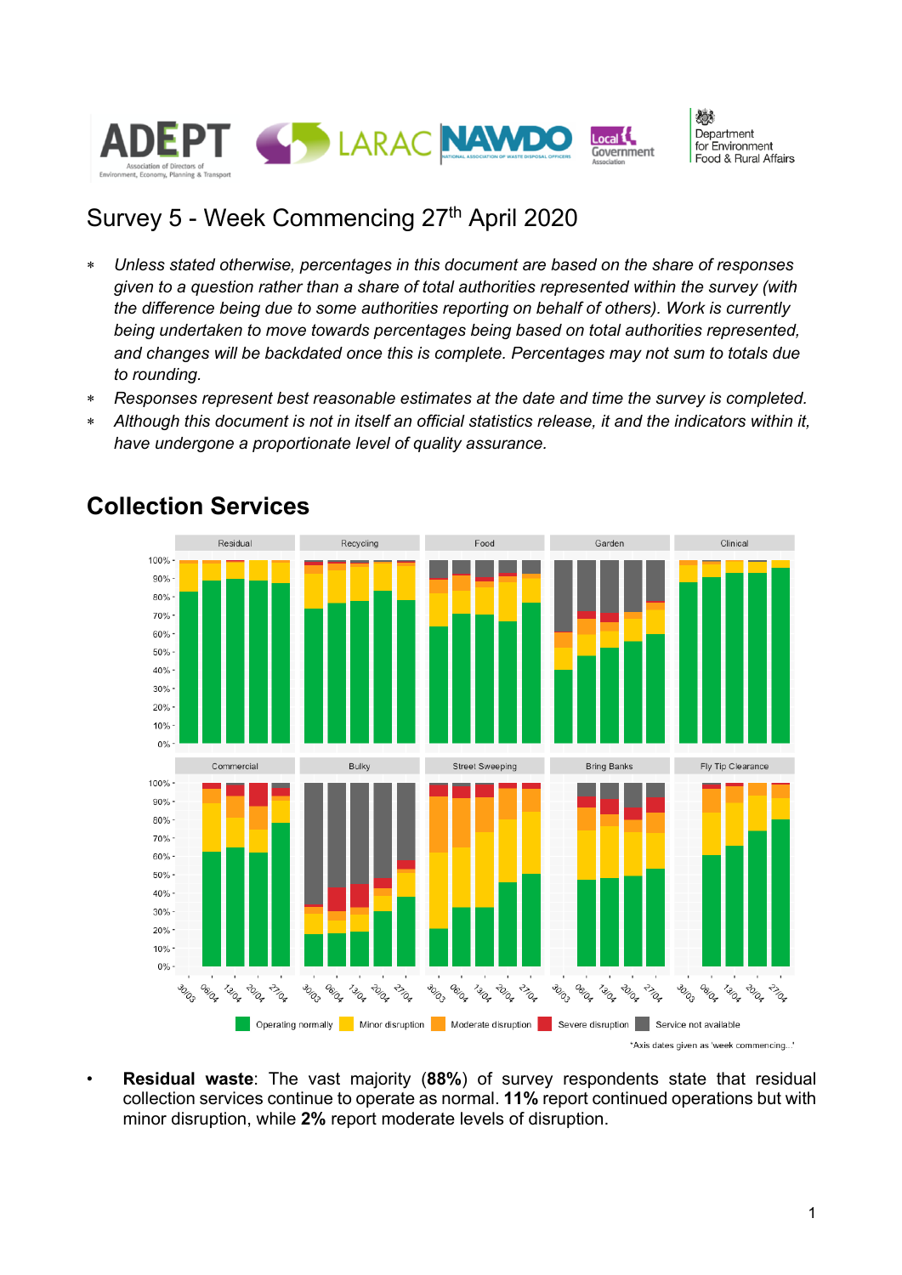

燃 Denartment for Environment Food & Rural Affairs

## Survey 5 - Week Commencing 27<sup>th</sup> April 2020

- \* *Unless stated otherwise, percentages in this document are based on the share of responses given to a question rather than a share of total authorities represented within the survey (with the difference being due to some authorities reporting on behalf of others). Work is currently being undertaken to move towards percentages being based on total authorities represented, and changes will be backdated once this is complete. Percentages may not sum to totals due to rounding.*
- \* *Responses represent best reasonable estimates at the date and time the survey is completed.*
- \* *Although this document is not in itself an official statistics release, it and the indicators within it, have undergone a proportionate level of quality assurance.*



#### **Collection Services**

• **Residual waste**: The vast majority (**88%**) of survey respondents state that residual collection services continue to operate as normal. **11%** report continued operations but with minor disruption, while **2%** report moderate levels of disruption.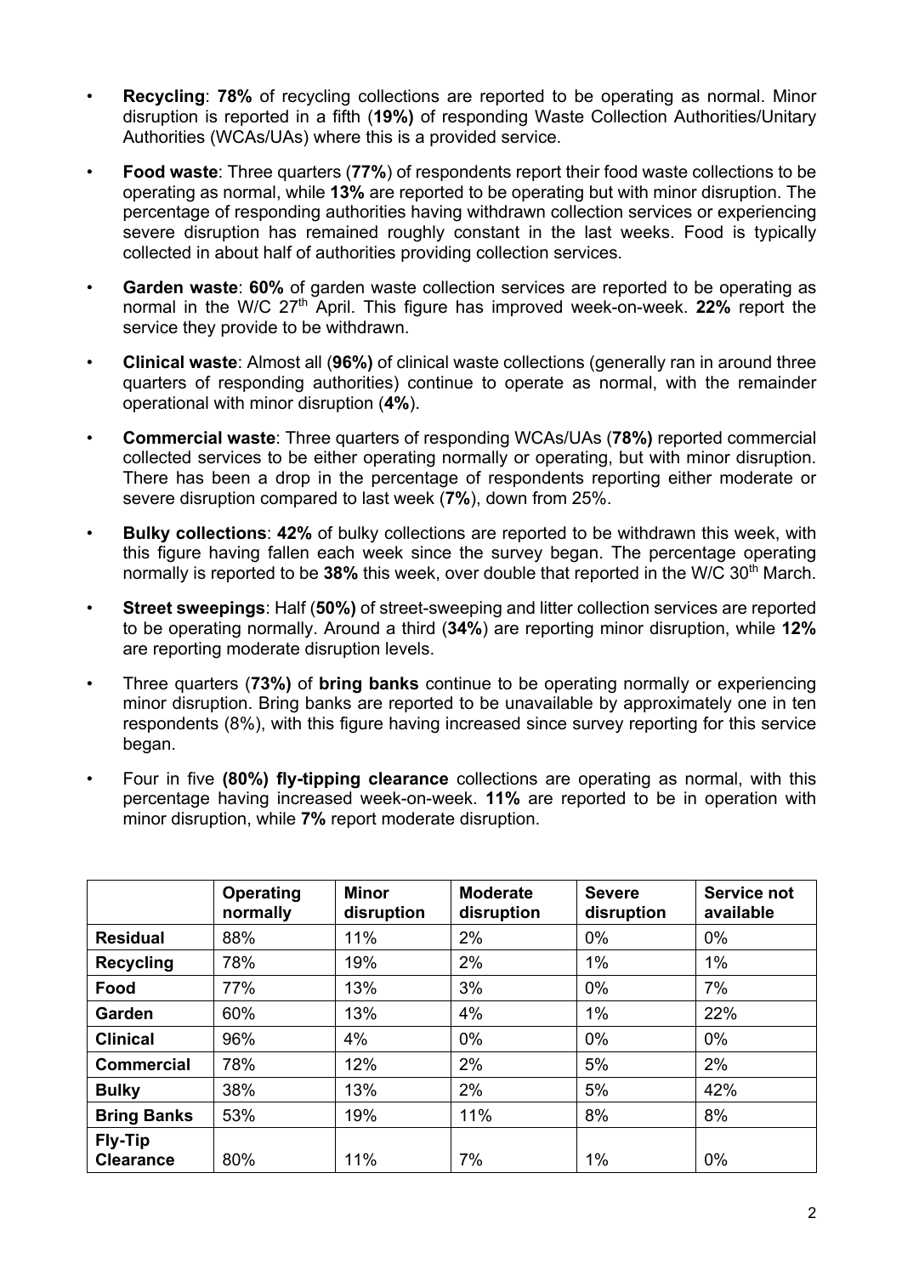- **Recycling**: **78%** of recycling collections are reported to be operating as normal. Minor disruption is reported in a fifth (**19%)** of responding Waste Collection Authorities/Unitary Authorities (WCAs/UAs) where this is a provided service.
- **Food waste**: Three quarters (**77%**) of respondents report their food waste collections to be operating as normal, while **13%** are reported to be operating but with minor disruption. The percentage of responding authorities having withdrawn collection services or experiencing severe disruption has remained roughly constant in the last weeks. Food is typically collected in about half of authorities providing collection services.
- **Garden waste**: **60%** of garden waste collection services are reported to be operating as normal in the W/C 27th April. This figure has improved week-on-week. **22%** report the service they provide to be withdrawn.
- **Clinical waste**: Almost all (**96%)** of clinical waste collections (generally ran in around three quarters of responding authorities) continue to operate as normal, with the remainder operational with minor disruption (**4%**).
- **Commercial waste**: Three quarters of responding WCAs/UAs (**78%)** reported commercial collected services to be either operating normally or operating, but with minor disruption. There has been a drop in the percentage of respondents reporting either moderate or severe disruption compared to last week (**7%**), down from 25%.
- **Bulky collections**: **42%** of bulky collections are reported to be withdrawn this week, with this figure having fallen each week since the survey began. The percentage operating normally is reported to be **38%** this week, over double that reported in the W/C 30th March.
- **Street sweepings**: Half (**50%)** of street-sweeping and litter collection services are reported to be operating normally. Around a third (**34%**) are reporting minor disruption, while **12%** are reporting moderate disruption levels.
- Three quarters (**73%)** of **bring banks** continue to be operating normally or experiencing minor disruption. Bring banks are reported to be unavailable by approximately one in ten respondents (8%), with this figure having increased since survey reporting for this service began.
- Four in five **(80%) fly-tipping clearance** collections are operating as normal, with this percentage having increased week-on-week. **11%** are reported to be in operation with minor disruption, while **7%** report moderate disruption.

|                                    | <b>Operating</b><br>normally | <b>Minor</b><br>disruption | <b>Moderate</b><br>disruption | <b>Severe</b><br>disruption | Service not<br>available |
|------------------------------------|------------------------------|----------------------------|-------------------------------|-----------------------------|--------------------------|
| <b>Residual</b>                    | 88%                          | 11%                        | 2%                            | $0\%$                       | $0\%$                    |
| <b>Recycling</b>                   | 78%                          | 19%                        | 2%                            | $1\%$                       | $1\%$                    |
| Food                               | 77%                          | 13%                        | 3%                            | $0\%$                       | 7%                       |
| Garden                             | 60%                          | 13%                        | 4%                            | $1\%$                       | 22%                      |
| <b>Clinical</b>                    | 96%                          | 4%                         | 0%                            | 0%                          | $0\%$                    |
| <b>Commercial</b>                  | 78%                          | 12%                        | 2%                            | 5%                          | 2%                       |
| <b>Bulky</b>                       | 38%                          | 13%                        | 2%                            | 5%                          | 42%                      |
| <b>Bring Banks</b>                 | 53%                          | 19%                        | 11%                           | 8%                          | 8%                       |
| <b>Fly-Tip</b><br><b>Clearance</b> | 80%                          | 11%                        | 7%                            | 1%                          | 0%                       |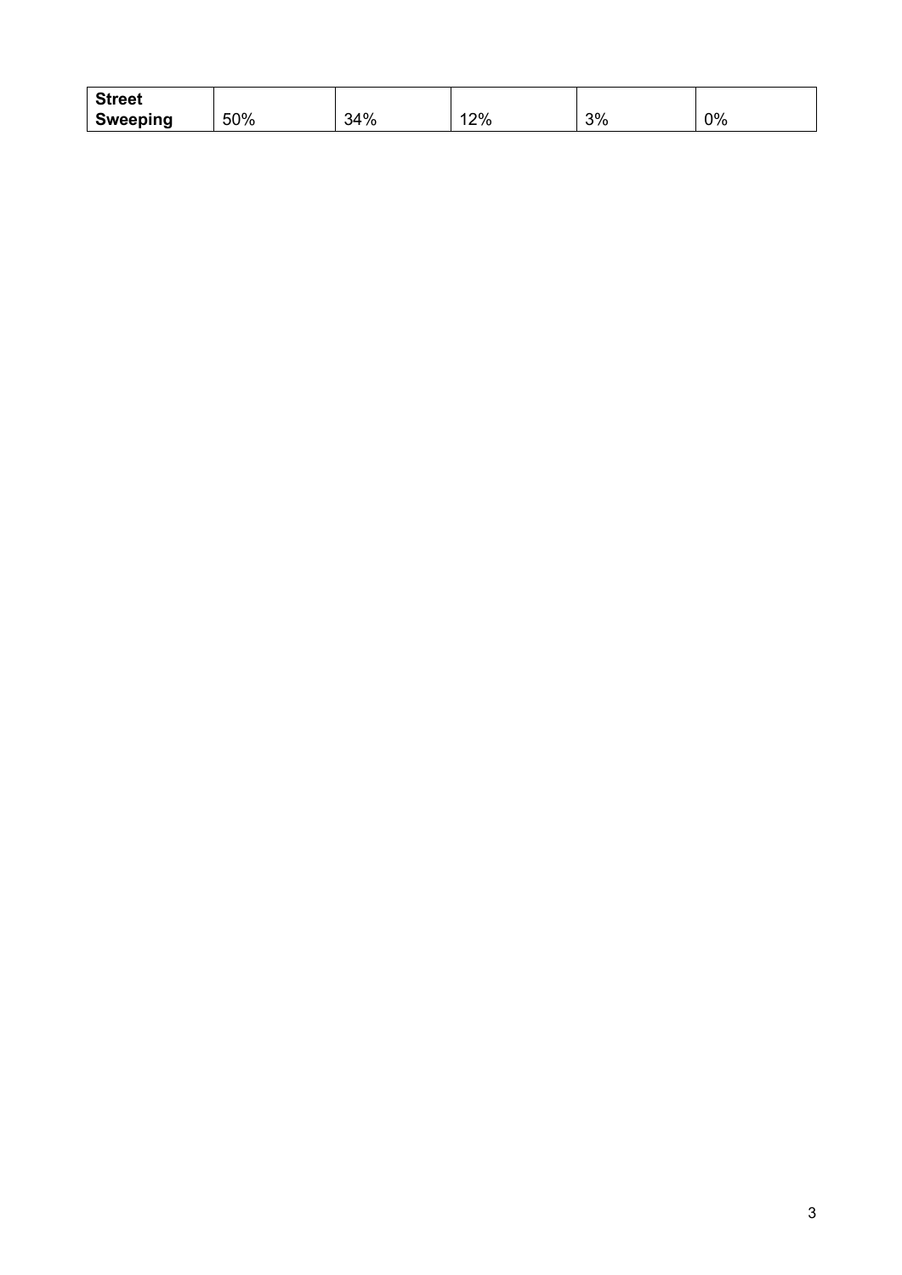| <b>Street</b>   |     |     |    |    |    |
|-----------------|-----|-----|----|----|----|
| <b>Sweeping</b> | 50% | 34% | 2% | 3% | 0% |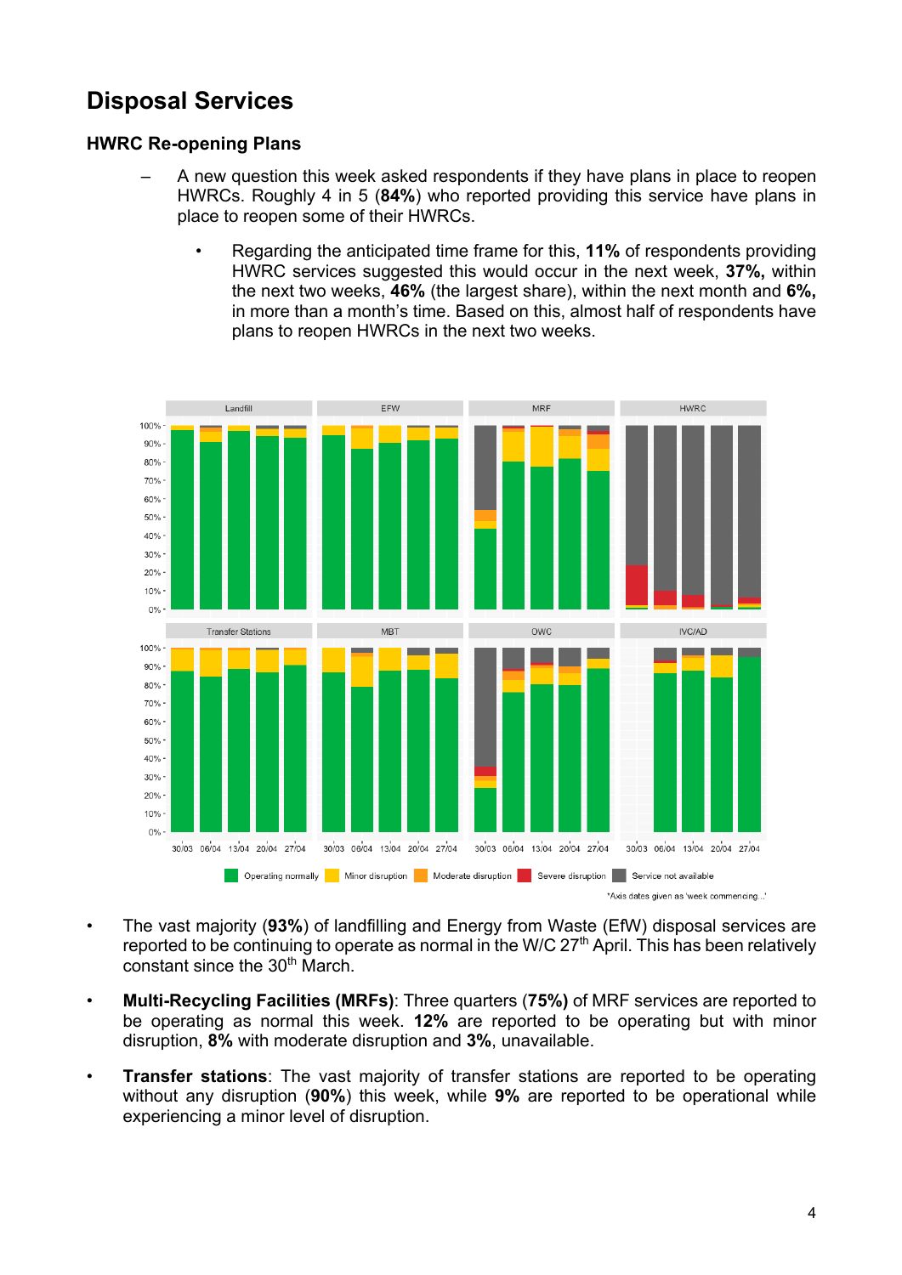## **Disposal Services**

#### **HWRC Re-opening Plans**

- A new question this week asked respondents if they have plans in place to reopen HWRCs. Roughly 4 in 5 (**84%**) who reported providing this service have plans in place to reopen some of their HWRCs.
	- Regarding the anticipated time frame for this, **11%** of respondents providing HWRC services suggested this would occur in the next week, **37%,** within the next two weeks, **46%** (the largest share), within the next month and **6%,** in more than a month's time. Based on this, almost half of respondents have plans to reopen HWRCs in the next two weeks.



- The vast majority (**93%**) of landfilling and Energy from Waste (EfW) disposal services are reported to be continuing to operate as normal in the W/C  $27<sup>th</sup>$  April. This has been relatively constant since the 30<sup>th</sup> March.
- **Multi-Recycling Facilities (MRFs)**: Three quarters (**75%)** of MRF services are reported to be operating as normal this week. **12%** are reported to be operating but with minor disruption, **8%** with moderate disruption and **3%**, unavailable.
- **Transfer stations**: The vast majority of transfer stations are reported to be operating without any disruption (**90%**) this week, while **9%** are reported to be operational while experiencing a minor level of disruption.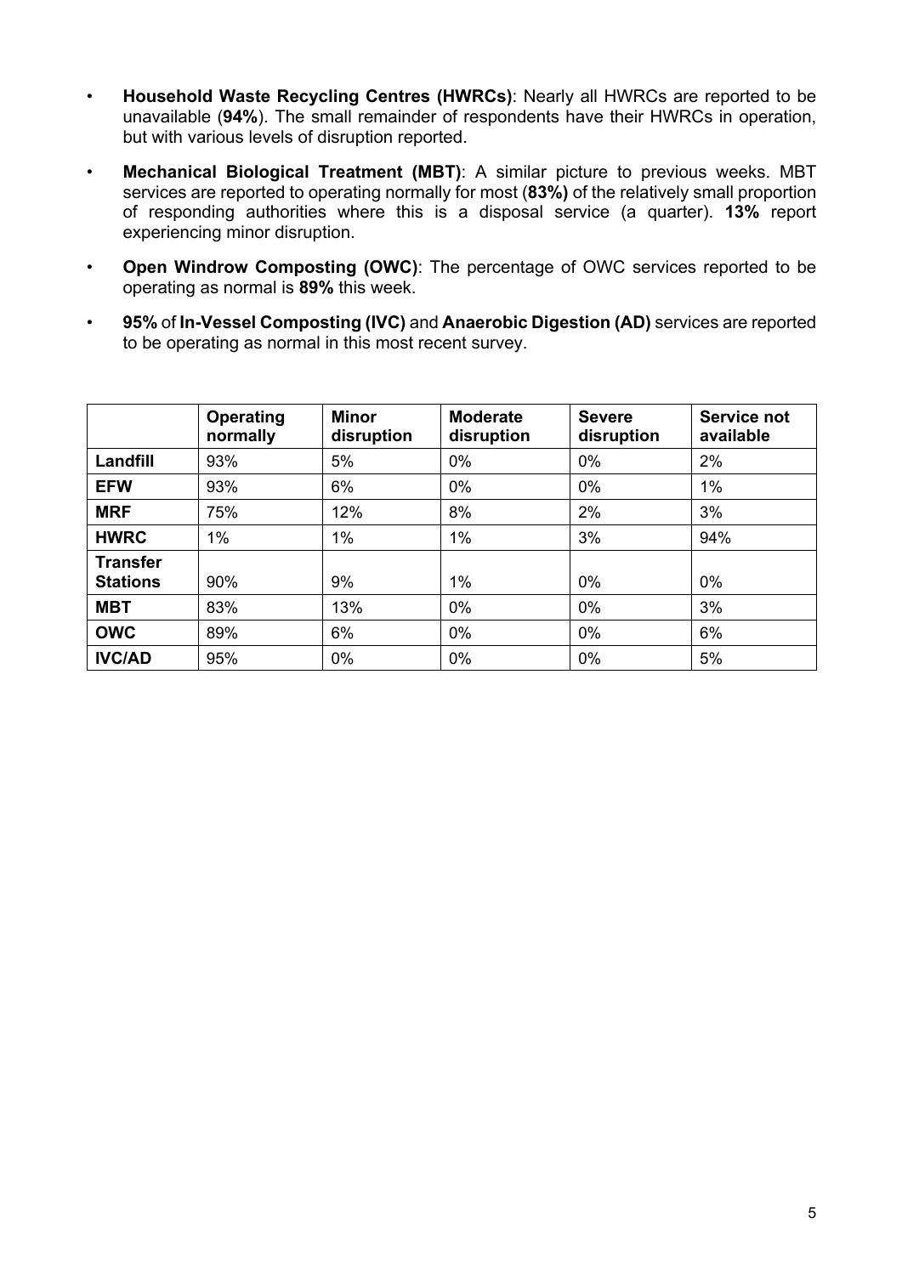- **Household Waste Recycling Centres (HWRCs)**: Nearly all HWRCs are reported to be unavailable (**94%**). The small remainder of respondents have their HWRCs in operation, but with various levels of disruption reported.
- **Mechanical Biological Treatment (MBT)**: A similar picture to previous weeks. MBT services are reported to operating normally for most (**83%)** of the relatively small proportion of responding authorities where this is a disposal service (a quarter). **13%** report experiencing minor disruption.
- **Open Windrow Composting (OWC)**: The percentage of OWC services reported to be operating as normal is **89%** this week.
- **95%** of **In-Vessel Composting (IVC)** and **Anaerobic Digestion (AD)** services are reported to be operating as normal in this most recent survey.

|                                    | <b>Operating</b><br>normally | <b>Minor</b><br>disruption | <b>Moderate</b><br>disruption | <b>Severe</b><br>disruption | Service not<br>available |
|------------------------------------|------------------------------|----------------------------|-------------------------------|-----------------------------|--------------------------|
| Landfill                           | 93%                          | 5%                         | $0\%$                         | $0\%$                       | 2%                       |
| <b>EFW</b>                         | 93%                          | 6%                         | $0\%$                         | $0\%$                       | $1\%$                    |
| <b>MRF</b>                         | 75%                          | 12%                        | 8%                            | 2%                          | 3%                       |
| <b>HWRC</b>                        | $1\%$                        | $1\%$                      | 1%                            | 3%                          | 94%                      |
| <b>Transfer</b><br><b>Stations</b> | 90%                          | 9%                         | $1\%$                         | 0%                          | $0\%$                    |
| <b>MBT</b>                         | 83%                          | 13%                        | $0\%$                         | 0%                          | 3%                       |
| <b>OWC</b>                         | 89%                          | 6%                         | $0\%$                         | 0%                          | 6%                       |
| <b>IVC/AD</b>                      | 95%                          | 0%                         | 0%                            | 0%                          | 5%                       |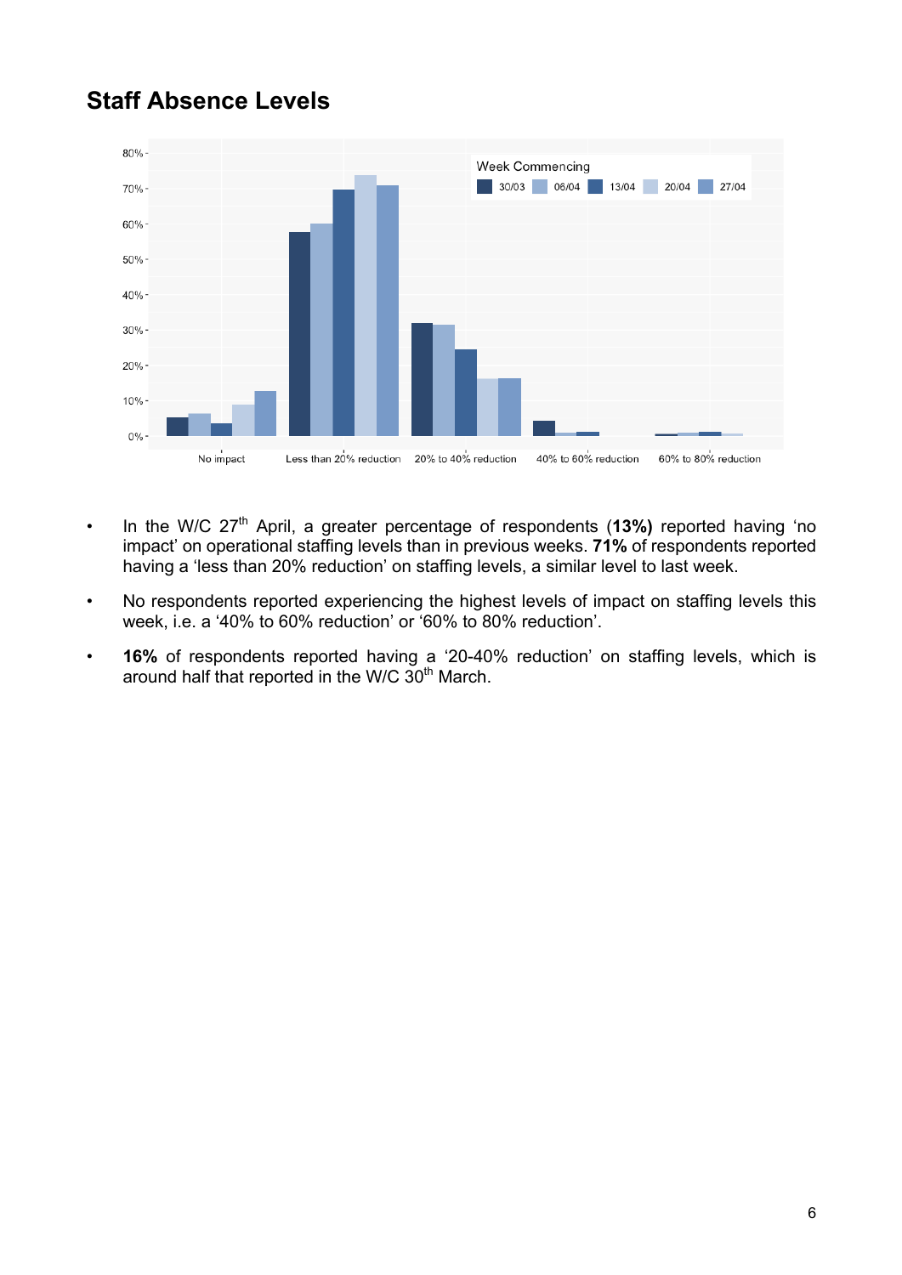## **Staff Absence Levels**



- In the W/C 27<sup>th</sup> April, a greater percentage of respondents (13%) reported having 'no impact' on operational staffing levels than in previous weeks. **71%** of respondents reported having a 'less than 20% reduction' on staffing levels, a similar level to last week.
- No respondents reported experiencing the highest levels of impact on staffing levels this week, i.e. a '40% to 60% reduction' or '60% to 80% reduction'.
- **16%** of respondents reported having a '20-40% reduction' on staffing levels, which is around half that reported in the W/C 30<sup>th</sup> March.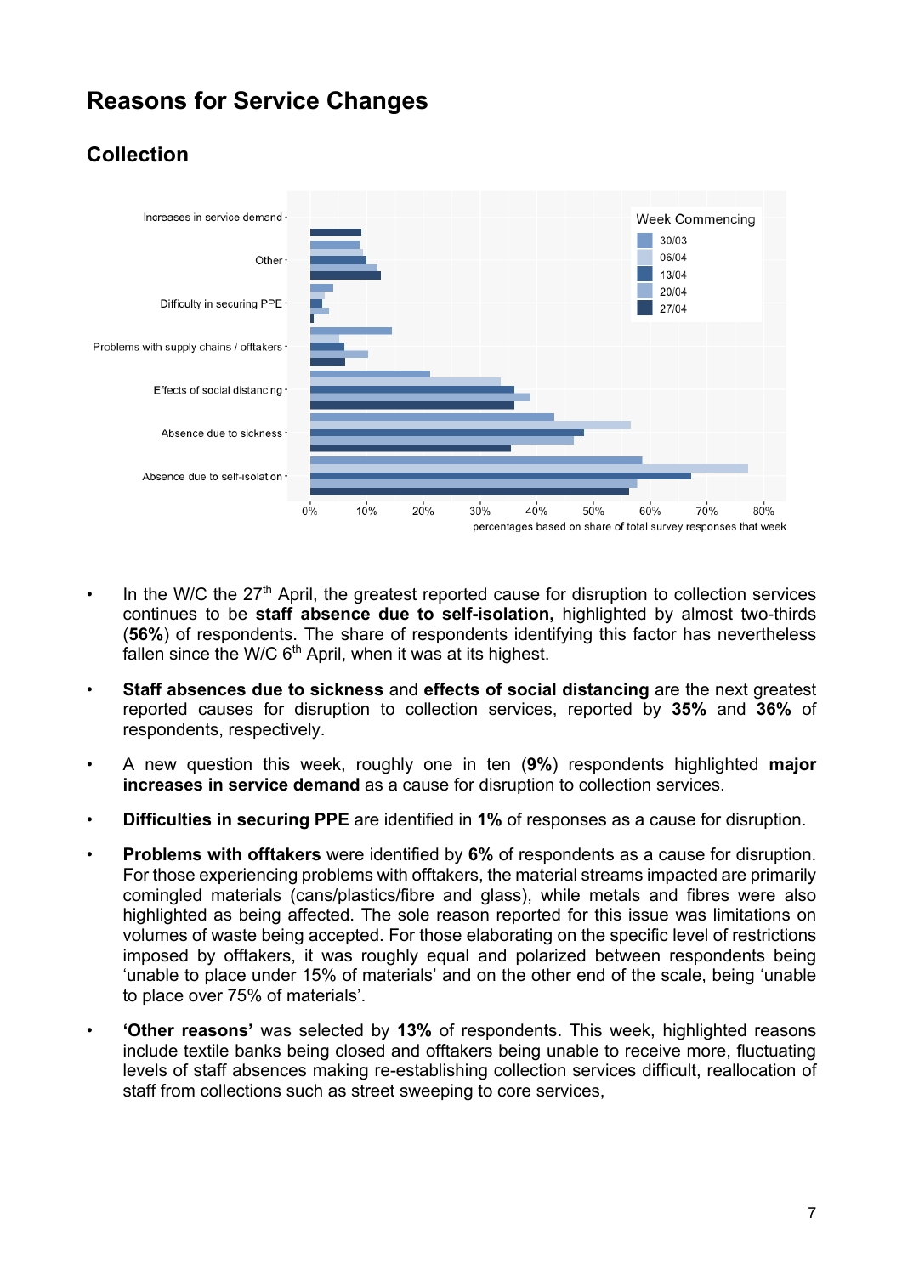## **Reasons for Service Changes**

#### **Collection**



- In the W/C the  $27<sup>th</sup>$  April, the greatest reported cause for disruption to collection services continues to be **staff absence due to self-isolation,** highlighted by almost two-thirds (**56%**) of respondents. The share of respondents identifying this factor has nevertheless fallen since the W/C  $6<sup>th</sup>$  April, when it was at its highest.
- **Staff absences due to sickness** and **effects of social distancing** are the next greatest reported causes for disruption to collection services, reported by **35%** and **36%** of respondents, respectively.
- A new question this week, roughly one in ten (**9%**) respondents highlighted **major increases in service demand** as a cause for disruption to collection services.
- **Difficulties in securing PPE** are identified in **1%** of responses as a cause for disruption.
- **Problems with offtakers** were identified by 6% of respondents as a cause for disruption. For those experiencing problems with offtakers, the material streams impacted are primarily comingled materials (cans/plastics/fibre and glass), while metals and fibres were also highlighted as being affected. The sole reason reported for this issue was limitations on volumes of waste being accepted. For those elaborating on the specific level of restrictions imposed by offtakers, it was roughly equal and polarized between respondents being 'unable to place under 15% of materials' and on the other end of the scale, being 'unable to place over 75% of materials'.
- **'Other reasons'** was selected by **13%** of respondents. This week, highlighted reasons include textile banks being closed and offtakers being unable to receive more, fluctuating levels of staff absences making re-establishing collection services difficult, reallocation of staff from collections such as street sweeping to core services,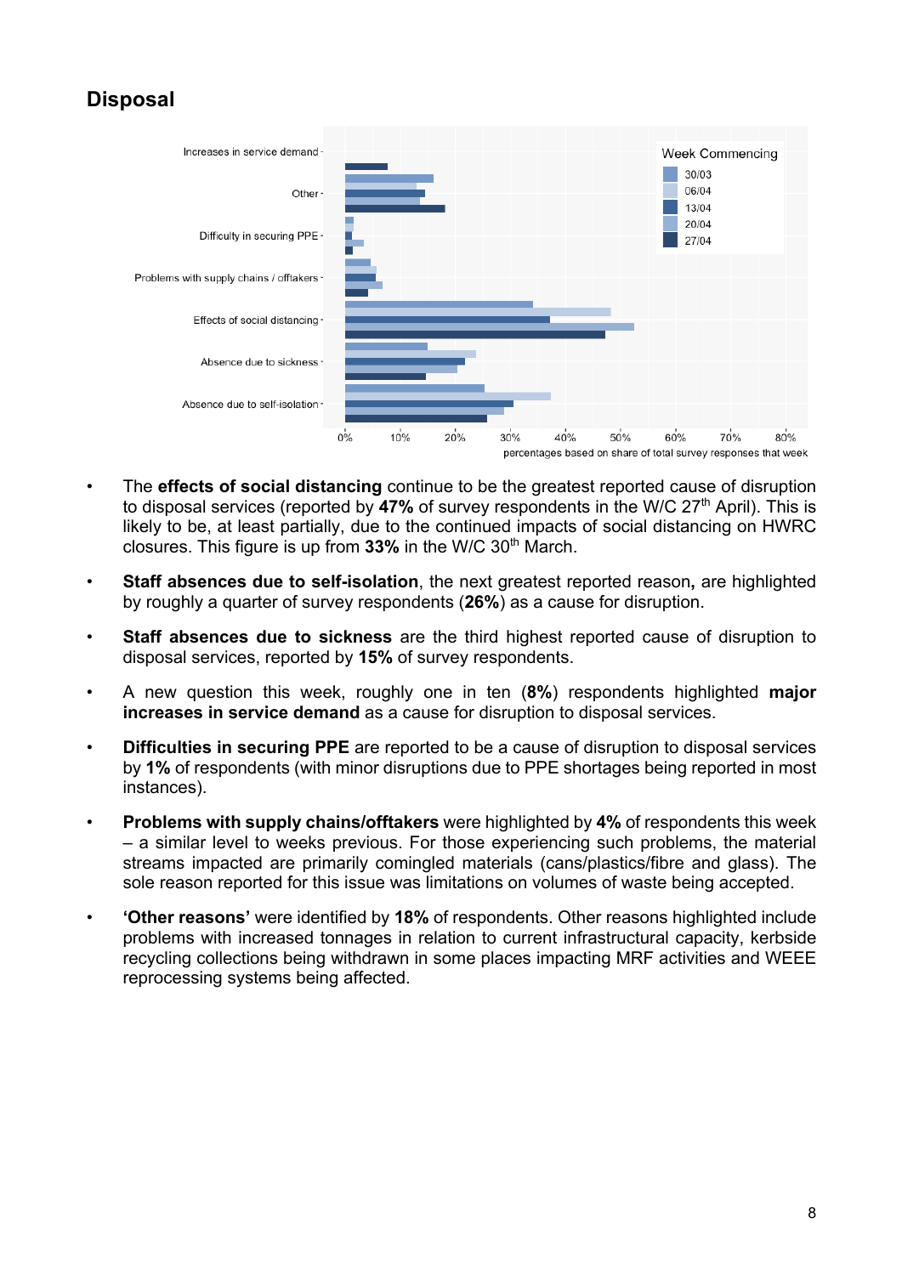#### **Disposal**



- The **effects of social distancing** continue to be the greatest reported cause of disruption to disposal services (reported by 47% of survey respondents in the W/C 27<sup>th</sup> April). This is likely to be, at least partially, due to the continued impacts of social distancing on HWRC closures. This figure is up from 33% in the W/C 30<sup>th</sup> March.
- **Staff absences due to self-isolation**, the next greatest reported reason**,** are highlighted by roughly a quarter of survey respondents (**26%**) as a cause for disruption.
- **Staff absences due to sickness** are the third highest reported cause of disruption to disposal services, reported by **15%** of survey respondents.
- A new question this week, roughly one in ten (**8%**) respondents highlighted **major increases in service demand** as a cause for disruption to disposal services.
- **Difficulties in securing PPE** are reported to be a cause of disruption to disposal services by **1%** of respondents (with minor disruptions due to PPE shortages being reported in most instances).
- **Problems with supply chains/offtakers** were highlighted by **4%** of respondents this week – a similar level to weeks previous. For those experiencing such problems, the material streams impacted are primarily comingled materials (cans/plastics/fibre and glass). The sole reason reported for this issue was limitations on volumes of waste being accepted.
- **'Other reasons'** were identified by **18%** of respondents. Other reasons highlighted include problems with increased tonnages in relation to current infrastructural capacity, kerbside recycling collections being withdrawn in some places impacting MRF activities and WEEE reprocessing systems being affected.